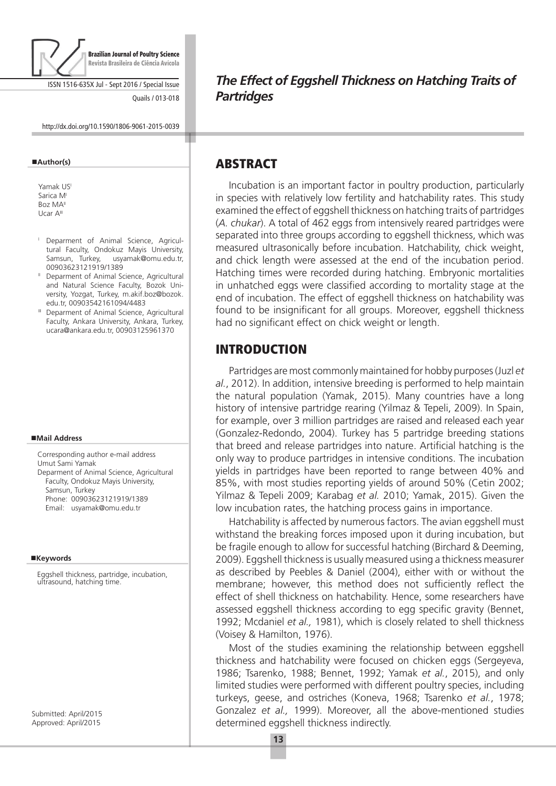

ISSN 1516-635X Jul - Sept 2016 / Special Issue

Quails / 013-018

http://dx.doi.org/10.1590/1806-9061-2015-0039

#### **Author(s)**

Yamak USI Sarica M Boz MAII Ucar AIII

- <sup>I</sup> Deparment of Animal Science, Agricultural Faculty, Ondokuz Mayis University, Samsun, Turkey, usyamak@omu.edu.tr,
- 00903623121919/1389<br>
<sup>II</sup> Deparment of Animal Science, Agricultural and Natural Science Faculty, Bozok University, Yozgat, Turkey, m.akif.boz@bozok.
- edu.tr, 00903542161094/4483<br>
III Deparment of Animal Science, Agricultural Faculty, Ankara University, Ankara, Turkey, ucara@ankara.edu.tr, 00903125961370

#### **Mail Address**

Corresponding author e-mail address Umut Sami Yamak Deparment of Animal Science, Agricultural Faculty, Ondokuz Mayis University, Samsun, Turkey Phone: 00903623121919/1389 Email: usyamak@omu.edu.tr

#### **Keywords**

Eggshell thickness, partridge, incubation, ultrasound, hatching time.

Submitted: April/2015 Approved: April/2015

*The Effect of Eggshell Thickness on Hatching Traits of Partridges*

#### **ABSTRACT**

Incubation is an important factor in poultry production, particularly in species with relatively low fertility and hatchability rates. This study examined the effect of eggshell thickness on hatching traits of partridges (*A. chukar*). A total of 462 eggs from intensively reared partridges were separated into three groups according to eggshell thickness, which was measured ultrasonically before incubation. Hatchability, chick weight, and chick length were assessed at the end of the incubation period. Hatching times were recorded during hatching. Embryonic mortalities in unhatched eggs were classified according to mortality stage at the end of incubation. The effect of eggshell thickness on hatchability was found to be insignificant for all groups. Moreover, eggshell thickness had no significant effect on chick weight or length.

### **INTRODUCTION**

Partridges are most commonly maintained for hobby purposes (Juzl *et al.*, 2012). In addition, intensive breeding is performed to help maintain the natural population (Yamak, 2015). Many countries have a long history of intensive partridge rearing (Yilmaz & Tepeli, 2009). In Spain, for example, over 3 million partridges are raised and released each year (Gonzalez-Redondo, 2004). Turkey has 5 partridge breeding stations that breed and release partridges into nature. Artificial hatching is the only way to produce partridges in intensive conditions. The incubation yields in partridges have been reported to range between 40% and 85%, with most studies reporting yields of around 50% (Cetin 2002; Yilmaz & Tepeli 2009; Karabag *et al.* 2010; Yamak, 2015). Given the low incubation rates, the hatching process gains in importance.

Hatchability is affected by numerous factors. The avian eggshell must withstand the breaking forces imposed upon it during incubation, but be fragile enough to allow for successful hatching (Birchard & Deeming, 2009). Eggshell thickness is usually measured using a thickness measurer as described by Peebles & Daniel (2004), either with or without the membrane; however, this method does not sufficiently reflect the effect of shell thickness on hatchability. Hence, some researchers have assessed eggshell thickness according to egg specific gravity (Bennet, 1992; Mcdaniel *et al.,* 1981), which is closely related to shell thickness (Voisey & Hamilton, 1976).

Most of the studies examining the relationship between eggshell thickness and hatchability were focused on chicken eggs (Sergeyeva, 1986; Tsarenko, 1988; Bennet, 1992; Yamak *et al.*, 2015), and only limited studies were performed with different poultry species, including turkeys, geese, and ostriches (Koneva, 1968; Tsarenko *et al.*, 1978; Gonzalez *et al.,* 1999). Moreover, all the above-mentioned studies determined eggshell thickness indirectly.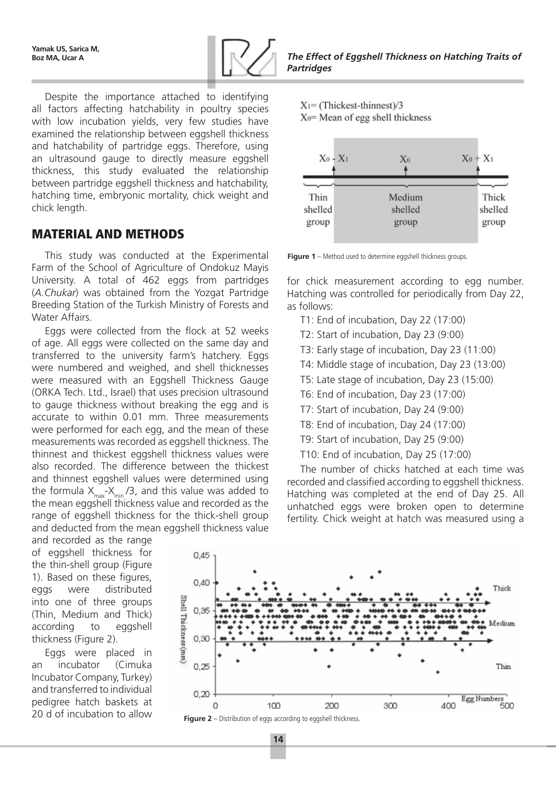

Despite the importance attached to identifying all factors affecting hatchability in poultry species with low incubation yields, very few studies have examined the relationship between eggshell thickness and hatchability of partridge eggs. Therefore, using an ultrasound gauge to directly measure eggshell thickness, this study evaluated the relationship between partridge eggshell thickness and hatchability, hatching time, embryonic mortality, chick weight and chick length.

### Material and methods

This study was conducted at the Experimental Farm of the School of Agriculture of Ondokuz Mayis University. A total of 462 eggs from partridges (*A.Chukar*) was obtained from the Yozgat Partridge Breeding Station of the Turkish Ministry of Forests and Water Affairs.

Eggs were collected from the flock at 52 weeks of age. All eggs were collected on the same day and transferred to the university farm's hatchery. Eggs were numbered and weighed, and shell thicknesses were measured with an Eggshell Thickness Gauge (ORKA Tech. Ltd., Israel) that uses precision ultrasound to gauge thickness without breaking the egg and is accurate to within 0.01 mm. Three measurements were performed for each egg, and the mean of these measurements was recorded as eggshell thickness. The thinnest and thickest eggshell thickness values were also recorded. The difference between the thickest and thinnest eggshell values were determined using the formula  $X_{max} - X_{min} / 3$ , and this value was added to the mean eggshell thickness value and recorded as the range of eggshell thickness for the thick-shell group and deducted from the mean eggshell thickness value

and recorded as the range of eggshell thickness for the thin-shell group (Figure 1). Based on these figures, eggs were distributed into one of three groups (Thin, Medium and Thick) according to eggshell thickness (Figure 2).

Eggs were placed in an incubator (Cimuka Incubator Company, Turkey) and transferred to individual pedigree hatch baskets at 20 d of incubation to allow

**Boz MA, Ucar A** *The Effect of Eggshell Thickness on Hatching Traits of Partridges*

 $X_1 = (Thicket-thinnest)/3$ 

 $X<sub>0</sub>=$  Mean of egg shell thickness



**Figure 1** – Method used to determine eggshell thickness groups.

for chick measurement according to egg number. Hatching was controlled for periodically from Day 22, as follows:

- T1: End of incubation, Day 22 (17:00)
- T2: Start of incubation, Day 23 (9:00)
- T3: Early stage of incubation, Day 23 (11:00)
- T4: Middle stage of incubation, Day 23 (13:00)
- T5: Late stage of incubation, Day 23 (15:00)
- T6: End of incubation, Day 23 (17:00)
- T7: Start of incubation, Day 24 (9:00)
- T8: End of incubation, Day 24 (17:00)
- T9: Start of incubation, Day 25 (9:00)
- T10: End of incubation, Day 25 (17:00)

The number of chicks hatched at each time was recorded and classified according to eggshell thickness. Hatching was completed at the end of Day 25. All unhatched eggs were broken open to determine fertility. Chick weight at hatch was measured using a



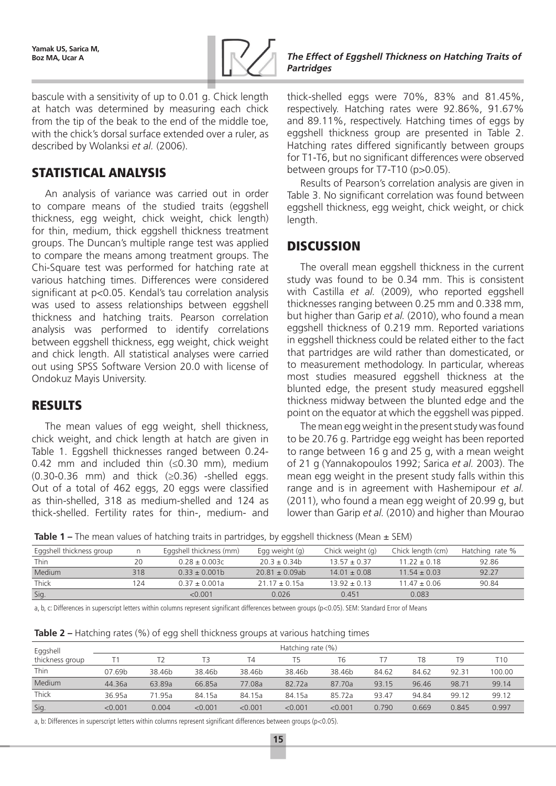

bascule with a sensitivity of up to 0.01 g. Chick length at hatch was determined by measuring each chick from the tip of the beak to the end of the middle toe, with the chick's dorsal surface extended over a ruler, as described by Wolanksi *et al.* (2006).

## Statistical analysis

An analysis of variance was carried out in order to compare means of the studied traits (eggshell thickness, egg weight, chick weight, chick length) for thin, medium, thick eggshell thickness treatment groups. The Duncan's multiple range test was applied to compare the means among treatment groups. The Chi-Square test was performed for hatching rate at various hatching times. Differences were considered significant at p<0.05. Kendal's tau correlation analysis was used to assess relationships between eggshell thickness and hatching traits. Pearson correlation analysis was performed to identify correlations between eggshell thickness, egg weight, chick weight and chick length. All statistical analyses were carried out using SPSS Software Version 20.0 with license of Ondokuz Mayis University.

## **RESULTS**

The mean values of egg weight, shell thickness, chick weight, and chick length at hatch are given in Table 1. Eggshell thicknesses ranged between 0.24- 0.42 mm and included thin (≤0.30 mm), medium  $(0.30-0.36$  mm) and thick  $(\geq 0.36)$  -shelled eggs. Out of a total of 462 eggs, 20 eggs were classified as thin-shelled, 318 as medium-shelled and 124 as thick-shelled. Fertility rates for thin-, medium- and thick-shelled eggs were 70%, 83% and 81.45%, respectively. Hatching rates were 92.86%, 91.67% and 89.11%, respectively. Hatching times of eggs by eggshell thickness group are presented in Table 2. Hatching rates differed significantly between groups for T1-T6, but no significant differences were observed between groups for T7-T10 (p>0.05).

Results of Pearson's correlation analysis are given in Table 3. No significant correlation was found between eggshell thickness, egg weight, chick weight, or chick length.

## **DISCUSSION**

The overall mean eggshell thickness in the current study was found to be 0.34 mm. This is consistent with Castilla *et al.* (2009), who reported eggshell thicknesses ranging between 0.25 mm and 0.338 mm, but higher than Garip *et al.* (2010), who found a mean eggshell thickness of 0.219 mm. Reported variations in eggshell thickness could be related either to the fact that partridges are wild rather than domesticated, or to measurement methodology. In particular, whereas most studies measured eggshell thickness at the blunted edge, the present study measured eggshell thickness midway between the blunted edge and the point on the equator at which the eggshell was pipped.

The mean egg weight in the present study was found to be 20.76 g. Partridge egg weight has been reported to range between 16 g and 25 g, with a mean weight of 21 g (Yannakopoulos 1992; Sarica *et al.* 2003). The mean egg weight in the present study falls within this range and is in agreement with Hashemipour *et al.* (2011), who found a mean egg weight of 20.99 g, but lower than Garip *et al.* (2010) and higher than Mourao

**Table 1 –** The mean values of hatching traits in partridges, by eggshell thickness (Mean  $\pm$  SEM)

|                          |     | -                       |                     |                  |                   |                 |
|--------------------------|-----|-------------------------|---------------------|------------------|-------------------|-----------------|
| Eggshell thickness group |     | Eggshell thickness (mm) | Egg weight $(q)$    | Chick weight (g) | Chick length (cm) | Hatching rate % |
| <b>Thin</b>              | 20  | $0.28 \pm 0.003c$       | $20.3 \pm 0.34$     | $13.57 \pm 0.37$ | $11.22 \pm 0.18$  | 92.86           |
| Medium                   | 318 | $0.33 \pm 0.001b$       | $20.81 \pm 0.09$ ab | $14.01 \pm 0.08$ | $11.54 \pm 0.03$  | 92.27           |
| Thick                    | 24  | $0.37 \pm 0.001a$       | $21.17 \pm 0.15a$   | $13.92 \pm 0.13$ | $11.47 \pm 0.06$  | 90.84           |
| Sig.                     |     | < 0.001                 | 0.026               | 0.451            | 0.083             |                 |

a, b, c: Differences in superscript letters within columns represent significant differences between groups (p<0.05). SEM: Standard Error of Means

| Eggshell        | Hatching rate (%) |        |         |         |         |         |       |       |       |        |
|-----------------|-------------------|--------|---------|---------|---------|---------|-------|-------|-------|--------|
| thickness group |                   |        | T3      | T4      | T5      | T6      |       | T8    | T9    | T10    |
| <b>Thin</b>     | 07.69b            | 38.46b | 38.46b  | 38.46b  | 38.46b  | 38.46b  | 84.62 | 84.62 | 92.31 | 100.00 |
| Medium          | 44.36a            | 63.89a | 66.85a  | 77.08a  | 82.72a  | 87.70a  | 93.15 | 96.46 | 98.71 | 99.14  |
| Thick           | 36.95a            | 71.95a | 84.15a  | 84.15a  | 84.15a  | 85.72a  | 93.47 | 94.84 | 99.12 | 99.12  |
| Sig.            | < 0.001           | 0.004  | < 0.001 | < 0.001 | < 0.001 | < 0.001 | 0.790 | 0.669 | 0.845 | 0.997  |

a, b: Differences in superscript letters within columns represent significant differences between groups (p<0.05).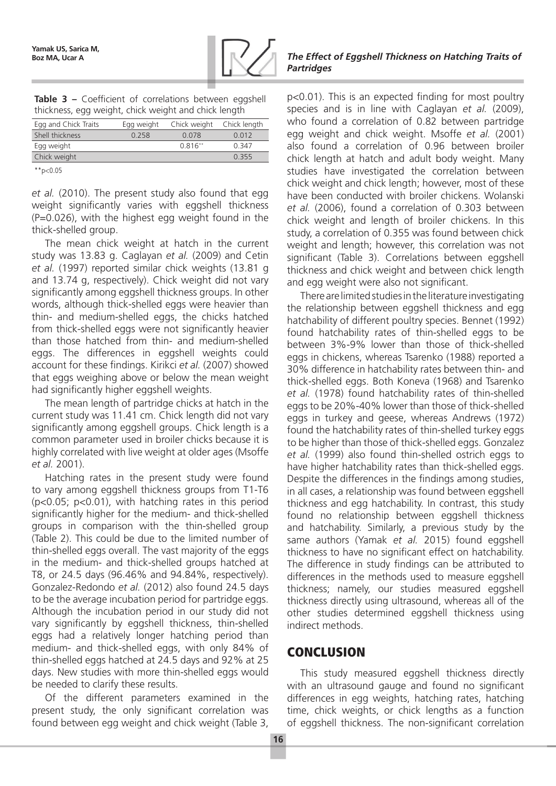

|                                                      |  |  |  | Table 3 – Coefficient of correlations between eggshell |  |  |
|------------------------------------------------------|--|--|--|--------------------------------------------------------|--|--|
| thickness, egg weight, chick weight and chick length |  |  |  |                                                        |  |  |

| Egg and Chick Traits | Egg weight | Chick weight | Chick length |
|----------------------|------------|--------------|--------------|
| Shell thickness      | 0 258      | 0.078        | 0.012        |
| Egg weight           |            | $0.816**$    | 0.347        |
| Chick weight         |            |              | 0.355        |
|                      |            |              |              |

 $*$ <sub>\*</sub> $p$  < 0.05

*et al.* (2010). The present study also found that egg weight significantly varies with eggshell thickness (P=0.026), with the highest egg weight found in the thick-shelled group.

The mean chick weight at hatch in the current study was 13.83 g. Caglayan *et al.* (2009) and Cetin *et al.* (1997) reported similar chick weights (13.81 g and 13.74 g, respectively). Chick weight did not vary significantly among eggshell thickness groups. In other words, although thick-shelled eggs were heavier than thin- and medium-shelled eggs, the chicks hatched from thick-shelled eggs were not significantly heavier than those hatched from thin- and medium-shelled eggs. The differences in eggshell weights could account for these findings. Kirikci *et al.* (2007) showed that eggs weighing above or below the mean weight had significantly higher eggshell weights.

The mean length of partridge chicks at hatch in the current study was 11.41 cm. Chick length did not vary significantly among eggshell groups. Chick length is a common parameter used in broiler chicks because it is highly correlated with live weight at older ages (Msoffe *et al.* 2001).

Hatching rates in the present study were found to vary among eggshell thickness groups from T1-T6 (p<0.05; p<0.01), with hatching rates in this period significantly higher for the medium- and thick-shelled groups in comparison with the thin-shelled group (Table 2). This could be due to the limited number of thin-shelled eggs overall. The vast majority of the eggs in the medium- and thick-shelled groups hatched at T8, or 24.5 days (96.46% and 94.84%, respectively). Gonzalez-Redondo *et al.* (2012) also found 24.5 days to be the average incubation period for partridge eggs. Although the incubation period in our study did not vary significantly by eggshell thickness, thin-shelled eggs had a relatively longer hatching period than medium- and thick-shelled eggs, with only 84% of thin-shelled eggs hatched at 24.5 days and 92% at 25 days. New studies with more thin-shelled eggs would be needed to clarify these results.

Of the different parameters examined in the present study, the only significant correlation was found between egg weight and chick weight (Table 3,

#### **Boz MA, Ucar A** *The Effect of Eggshell Thickness on Hatching Traits of Partridges*

p<0.01). This is an expected finding for most poultry species and is in line with Caglayan *et al.* (2009), who found a correlation of 0.82 between partridge egg weight and chick weight. Msoffe *et al.* (2001) also found a correlation of 0.96 between broiler chick length at hatch and adult body weight. Many studies have investigated the correlation between chick weight and chick length; however, most of these have been conducted with broiler chickens. Wolanski *et al.* (2006), found a correlation of 0.303 between chick weight and length of broiler chickens. In this study, a correlation of 0.355 was found between chick weight and length; however, this correlation was not significant (Table 3). Correlations between eggshell thickness and chick weight and between chick length and egg weight were also not significant.

There are limited studies in the literature investigating the relationship between eggshell thickness and egg hatchability of different poultry species. Bennet (1992) found hatchability rates of thin-shelled eggs to be between 3%-9% lower than those of thick-shelled eggs in chickens, whereas Tsarenko (1988) reported a 30% difference in hatchability rates between thin- and thick-shelled eggs. Both Koneva (1968) and Tsarenko *et al.* (1978) found hatchability rates of thin-shelled eggs to be 20%-40% lower than those of thick-shelled eggs in turkey and geese, whereas Andrews (1972) found the hatchability rates of thin-shelled turkey eggs to be higher than those of thick-shelled eggs. Gonzalez *et al.* (1999) also found thin-shelled ostrich eggs to have higher hatchability rates than thick-shelled eggs. Despite the differences in the findings among studies, in all cases, a relationship was found between eggshell thickness and egg hatchability. In contrast, this study found no relationship between eggshell thickness and hatchability. Similarly, a previous study by the same authors (Yamak *et al.* 2015) found eggshell thickness to have no significant effect on hatchability. The difference in study findings can be attributed to differences in the methods used to measure eggshell thickness; namely, our studies measured eggshell thickness directly using ultrasound, whereas all of the other studies determined eggshell thickness using indirect methods.

# **CONCLUSION**

This study measured eggshell thickness directly with an ultrasound gauge and found no significant differences in egg weights, hatching rates, hatching time, chick weights, or chick lengths as a function of eggshell thickness. The non-significant correlation